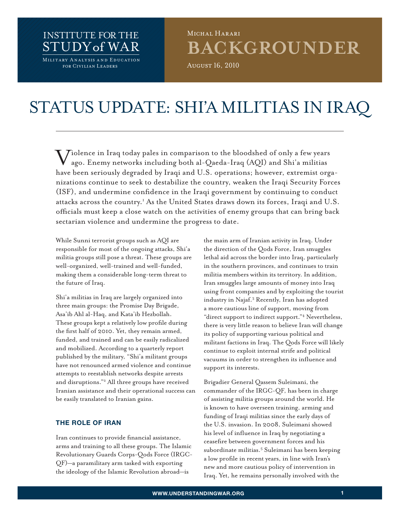# INSTITUTE FoR THE STUdY of WAR **MILITARY ANALYSIS AND EDUCATION**<br>FOR CIVILIAN LEADERS

# **BACKGROUNDER** MICHAL HARARI

August 16, 2010

# Status update: Shi'a Militias in Iraq

 $\boldsymbol{\nabla}$ iolence in Iraq today pales in comparison to the bloodshed of only a few years ago. Enemy networks including both al-Qaeda-Iraq (AQI) and Shi'a militias have been seriously degraded by Iraqi and U.S. operations; however, extremist organizations continue to seek to destabilize the country, weaken the Iraqi Security Forces (ISF), and undermine confidence in the Iraqi government by continuing to conduct attacks across the country.<sup>1</sup> As the United States draws down its forces, Iraqi and U.S. officials must keep a close watch on the activities of enemy groups that can bring back sectarian violence and undermine the progress to date.

While Sunni terrorist groups such as AQI are responsible for most of the ongoing attacks, Shi'a militia groups still pose a threat. These groups are well-organized, well-trained and well-funded, making them a considerable long-term threat to the future of Iraq.

Shi'a militias in Iraq are largely organized into three main groups: the Promise Day Brigade, Asa'ib Ahl al-Haq, and Kata'ib Hezbollah. These groups kept a relatively low profile during the first half of 2010. Yet, they remain armed, funded, and trained and can be easily radicalized and mobilized. According to a quarterly report published by the military, "Shi'a militant groups have not renounced armed violence and continue attempts to reestablish networks despite arrests and disruptions."2 All three groups have received Iranian assistance and their operational success can be easily translated to Iranian gains.

# **THE ROLE OF IRAN**

Iran continues to provide financial assistance, arms and training to all these groups. The Islamic Revolutionary Guards Corps-Qods Force (IRGC-QF)—a paramilitary arm tasked with exporting the ideology of the Islamic Revolution abroad—is

the main arm of Iranian activity in Iraq. Under the direction of the Qods Force, Iran smuggles lethal aid across the border into Iraq, particularly in the southern provinces, and continues to train militia members within its territory. In addition, Iran smuggles large amounts of money into Iraq using front companies and by exploiting the tourist industry in Najaf.3 Recently, Iran has adopted a more cautious line of support, moving from "direct support to indirect support."4 Nevertheless, there is very little reason to believe Iran will change its policy of supporting various political and militant factions in Iraq. The Qods Force will likely continue to exploit internal strife and political vacuums in order to strengthen its influence and support its interests.

Brigadier General Qassem Suleimani, the commander of the IRGC-QF, has been in charge of assisting militia groups around the world. He is known to have overseen training, arming and funding of Iraqi militias since the early days of the U.S. invasion. In 2008, Suleimani showed his level of influence in Iraq by negotiating a ceasefire between government forces and his subordinate militias.<sup>5</sup> Suleimani has been keeping a low profile in recent years, in line with Iran's new and more cautious policy of intervention in Iraq. Yet, he remains personally involved with the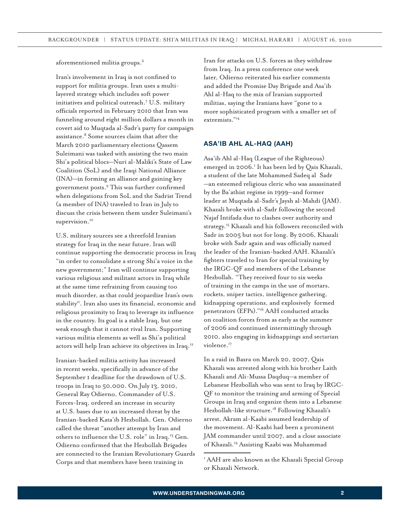aforementioned militia groups.6

Iran's involvement in Iraq is not confined to support for militia groups. Iran uses a multilayered strategy which includes soft power initiatives and political outreach.7 U.S. military officials reported in February 2010 that Iran was funneling around eight million dollars a month in covert aid to Muqtada al-Sadr's party for campaign assistance.<sup>8</sup> Some sources claim that after the March 2010 parliamentary elections Qassem Suleimani was tasked with assisting the two main Shi'a political blocs—Nuri al-Maliki's State of Law Coalition (SoL) and the Iraqi National Alliance (INA)—in forming an alliance and gaining key government posts.9 This was further confirmed when delegations from SoL and the Sadrist Trend (a member of INA) traveled to Iran in July to discuss the crisis between them under Suleimani's supervision.<sup>10</sup>

U.S. military sources see a threefold Iranian strategy for Iraq in the near future. Iran will continue supporting the democratic process in Iraq "in order to consolidate a strong Shi'a voice in the new government;" Iran will continue supporting various religious and militant actors in Iraq while at the same time refraining from causing too much disorder, as that could jeopardize Iran's own stability<sup>11</sup>. Iran also uses its financial, economic and religious proximity to Iraq to leverage its influence in the country. Its goal is a stable Iraq, but one weak enough that it cannot rival Iran. Supporting various militia elements as well as Shi'a political actors will help Iran achieve its objectives in Iraq.12

Iranian-backed militia activity has increased in recent weeks, specifically in advance of the September 1 deadline for the drawdown of U.S. troops in Iraq to 50,000. On July 13, 2010, General Ray Odierno, Commander of U.S. Forces-Iraq, ordered an increase in security at U.S. bases due to an increased threat by the Iranian-backed Kata'ib Hezbollah. Gen. Odierno called the threat "another attempt by Iran and others to influence the U.S. role" in Iraq.13 Gen. Odierno confirmed that the Hezbollah Brigades are connected to the Iranian Revolutionary Guards Corps and that members have been training in

Iran for attacks on U.S. forces as they withdraw from Iraq. In a press conference one week later, Odierno reiterated his earlier comments and added the Promise Day Brigade and Asa'ib Ahl al-Haq to the mix of Iranian supported militias, saying the Iranians have "gone to a more sophisticated program with a smaller set of extremists."14

#### **Asa'ib Ahl al-Haq (AAH)**

Asa'ib Ahl al-Haq (League of the Righteous) emerged in 2006.<sup>1</sup> It has been led by Qais Khazali, a student of the late Mohammed Sadeq al‐Sadr —an esteemed religious cleric who was assassinated by the Ba'athist regime in 1999—and former leader at Muqtada al-Sadr's Jaysh al-Mahdi (JAM). Khazali broke with al-Sadr following the second Najaf Intifada due to clashes over authority and strategy.15 Khazali and his followers reconciled with Sadr in 2005 but not for long. By 2006, Khazali broke with Sadr again and was officially named the leader of the Iranian-backed AAH. Khazali's fighters traveled to Iran for special training by the IRGC-QF and members of the Lebanese Hezbollah. "They received four to six weeks of training in the camps in the use of mortars, rockets, sniper tactics, intelligence gathering, kidnapping operations, and explosively‐formed penetrators (EFPs)."16 AAH conducted attacks on coalition forces from as early as the summer of 2006 and continued intermittingly through 2010, also engaging in kidnappings and sectarian violence.<sup>17</sup>

In a raid in Basra on March 20, 2007, Qais Khazali was arrested along with his brother Laith Khazali and Ali-Mussa Daqduq—a member of Lebanese Hezbollah who was sent to Iraq by IRGC-QF to monitor the training and arming of Special Groups in Iraq and organize them into a Lebanese Hezbollah-like structure.18 Following Khazali's arrest, Akram al-Kaabi assumed leadership of the movement. Al-Kaabi had been a prominent JAM commander until 2007, and a close associate of Khazali.19 Assisting Kaabi was Muhammad

<sup>&</sup>lt;sup>1</sup> AAH are also known as the Khazali Special Group or Khazali Network.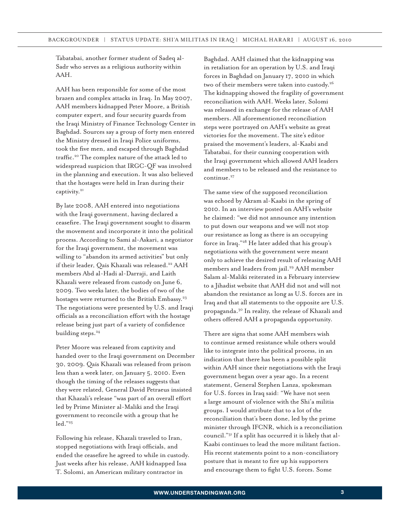Tabatabai, another former student of Sadeq al-Sadr who serves as a religious authority within AAH.

AAH has been responsible for some of the most brazen and complex attacks in Iraq. In May 2007, AAH members kidnapped Peter Moore, a British computer expert, and four security guards from the Iraqi Ministry of Finance Technology Center in Baghdad. Sources say a group of forty men entered the Ministry dressed in Iraqi Police uniforms, took the five men, and escaped through Baghdad traffic.20 The complex nature of the attack led to widespread suspicion that IRGC-QF was involved in the planning and execution. It was also believed that the hostages were held in Iran during their captivity.<sup>21</sup>

By late 2008, AAH entered into negotiations with the Iraqi government, having declared a ceasefire. The Iraqi government sought to disarm the movement and incorporate it into the political process. According to Sami al-Askari, a negotiator for the Iraqi government, the movement was willing to "abandon its armed activities" but only if their leader, Qais Khazali was released.<sup>22</sup> AAH members Abd al-Hadi al-Darraji, and Laith Khazali were released from custody on June 6, 2009. Two weeks later, the bodies of two of the hostages were returned to the British Embassy.<sup>23</sup> The negotiations were presented by U.S. and Iraqi officials as a reconciliation effort with the hostage release being just part of a variety of confidence building steps.<sup>24</sup>

Peter Moore was released from captivity and handed over to the Iraqi government on December 30, 2009. Qais Khazali was released from prison less than a week later, on January 5, 2010. Even though the timing of the releases suggests that they were related, General David Petraeus insisted that Khazali's release "was part of an overall effort led by Prime Minister al-Maliki and the Iraqi government to reconcile with a group that he led."25

Following his release, Khazali traveled to Iran, stopped negotiations with Iraqi officials, and ended the ceasefire he agreed to while in custody. Just weeks after his release, AAH kidnapped Issa T. Solomi, an American military contractor in

Baghdad. AAH claimed that the kidnapping was in retaliation for an operation by U.S. and Iraqi forces in Baghdad on January 17, 2010 in which two of their members were taken into custody.<sup>26</sup> The kidnapping showed the fragility of government reconciliation with AAH. Weeks later, Solomi was released in exchange for the release of AAH members. All aforementioned reconciliation steps were portrayed on AAH's website as great victories for the movement. The site's editor praised the movement's leaders, al-Kaabi and Tabatabai, for their cunning cooperation with the Iraqi government which allowed AAH leaders and members to be released and the resistance to continue.<sup>27</sup>

The same view of the supposed reconciliation was echoed by Akram al-Kaabi in the spring of 2010. In an interview posted on AAH's website he claimed: "we did not announce any intention to put down our weapons and we will not stop our resistance as long as there is an occupying force in Iraq."28 He later added that his group's negotiations with the government were meant only to achieve the desired result of releasing AAH members and leaders from jail.<sup>29</sup> AAH member Salam al-Maliki reiterated in a February interview to a Jihadist website that AAH did not and will not abandon the resistance as long as U.S. forces are in Iraq and that all statements to the opposite are U.S. propaganda.30 In reality, the release of Khazali and others offered AAH a propaganda opportunity.

There are signs that some AAH members wish to continue armed resistance while others would like to integrate into the political process, in an indication that there has been a possible split within AAH since their negotiations with the Iraqi government began over a year ago. In a recent statement, General Stephen Lanza, spokesman for U.S. forces in Iraq said: "We have not seen a large amount of violence with the Shi'a militia groups. I would attribute that to a lot of the reconciliation that's been done, led by the prime minister through IFCNR, which is a reconciliation council."31 If a split has occurred it is likely that al-Kaabi continues to lead the more militant faction. His recent statements point to a non-conciliatory posture that is meant to fire up his supporters and encourage them to fight U.S. forces. Some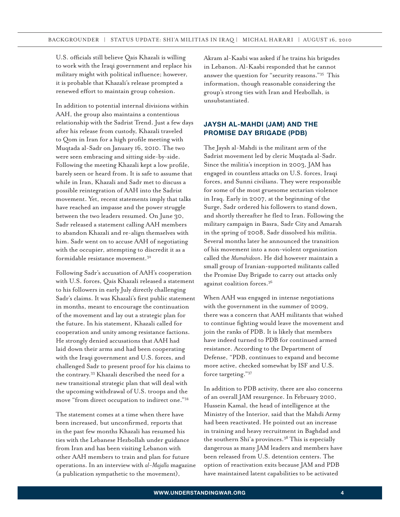U.S. officials still believe Qais Khazali is willing to work with the Iraqi government and replace his military might with political influence; however, it is probable that Khazali's release prompted a renewed effort to maintain group cohesion.

In addition to potential internal divisions within AAH, the group also maintains a contentious relationship with the Sadrist Trend. Just a few days after his release from custody, Khazali traveled to Qom in Iran for a high profile meeting with Muqtada al-Sadr on January 16, 2010. The two were seen embracing and sitting side-by-side. Following the meeting Khazali kept a low profile, barely seen or heard from. It is safe to assume that while in Iran, Khazali and Sadr met to discuss a possible reintegration of AAH into the Sadrist movement. Yet, recent statements imply that talks have reached an impasse and the power struggle between the two leaders resumed. On June 30, Sadr released a statement calling AAH members to abandon Khazali and re-align themselves with him. Sadr went on to accuse AAH of negotiating with the occupier, attempting to discredit it as a formidable resistance movement.32

Following Sadr's accusation of AAH's cooperation with U.S. forces, Qais Khazali released a statement to his followers in early July directly challenging Sadr's claims. It was Khazali's first public statement in months, meant to encourage the continuation of the movement and lay out a strategic plan for the future. In his statement, Khazali called for cooperation and unity among resistance factions. He strongly denied accusations that AAH had laid down their arms and had been cooperating with the Iraqi government and U.S. forces, and challenged Sadr to present proof for his claims to the contrary.33 Khazali described the need for a new transitional strategic plan that will deal with the upcoming withdrawal of U.S. troops and the move "from direct occupation to indirect one."34

The statement comes at a time when there have been increased, but unconfirmed, reports that in the past few months Khazali has resumed his ties with the Lebanese Hezbollah under guidance from Iran and has been visiting Lebanon with other AAH members to train and plan for future operations. In an interview with *al-Majalla* magazine (a publication sympathetic to the movement),

Akram al-Kaabi was asked if he trains his brigades in Lebanon. Al-Kaabi responded that he cannot answer the question for "security reasons."35 This information, though reasonable considering the group's strong ties with Iran and Hezbollah, is unsubstantiated.

## **Jaysh al-Mahdi (JAM) and The Promise Day Brigade (PDB)**

The Jaysh al-Mahdi is the militant arm of the Sadrist movement led by cleric Muqtada al-Sadr. Since the militia's inception in 2003, JAM has engaged in countless attacks on U.S. forces, Iraqi forces, and Sunni civilians. They were responsible for some of the most gruesome sectarian violence in Iraq. Early in 2007, at the beginning of the Surge, Sadr ordered his followers to stand down, and shortly thereafter he fled to Iran. Following the military campaign in Basra, Sadr City and Amarah in the spring of 2008, Sadr dissolved his militia. Several months later he announced the transition of his movement into a non-violent organization called the *Mumahidoon*. He did however maintain a small group of Iranian-supported militants called the Promise Day Brigade to carry out attacks only against coalition forces.36

When AAH was engaged in intense negotiations with the government in the summer of 2009, there was a concern that AAH militants that wished to continue fighting would leave the movement and join the ranks of PDB. It is likely that members have indeed turned to PDB for continued armed resistance. According to the Department of Defense, "PDB, continues to expand and become more active, checked somewhat by ISF and U.S. force targeting."37

In addition to PDB activity, there are also concerns of an overall JAM resurgence. In February 2010, Hussein Kamal, the head of intelligence at the Ministry of the Interior, said that the Mahdi Army had been reactivated. He pointed out an increase in training and heavy recruitment in Baghdad and the southern Shi'a provinces.<sup>38</sup> This is especially dangerous as many JAM leaders and members have been released from U.S. detention centers. The option of reactivation exits because JAM and PDB have maintained latent capabilities to be activated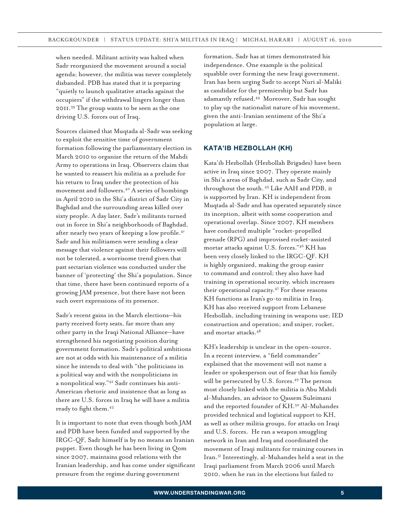when needed. Militant activity was halted when Sadr reorganized the movement around a social agenda; however, the militia was never completely disbanded. PDB has stated that it is preparing "quietly to launch qualitative attacks against the occupiers" if the withdrawal lingers longer than 2011.39 The group wants to be seen as the one driving U.S. forces out of Iraq.

Sources claimed that Muqtada al-Sadr was seeking to exploit the sensitive time of government formation following the parliamentary election in March 2010 to organize the return of the Mahdi Army to operations in Iraq. Observers claim that he wanted to reassert his militia as a prelude for his return to Iraq under the protection of his movement and followers.40 A series of bombings in April 2010 in the Shi'a district of Sadr City in Baghdad and the surrounding areas killed over sixty people. A day later, Sadr's militants turned out in force in Shi'a neighborhoods of Baghdad, after nearly two years of keeping a low profile.<sup>41</sup> Sadr and his militiamen were sending a clear message that violence against their followers will not be tolerated, a worrisome trend given that past sectarian violence was conducted under the banner of 'protecting' the Shi'a population. Since that time, there have been continued reports of a growing JAM presence, but there have not been such overt expressions of its presence.

Sadr's recent gains in the March elections—his party received forty seats, far more than any other party in the Iraqi National Alliance—have strengthened his negotiating position during government formation. Sadr's political ambitions are not at odds with his maintenance of a militia since he intends to deal with "the politicians in a political way and with the nonpoliticians in a nonpolitical way."42 Sadr continues his anti-American rhetoric and insistence that as long as there are U.S. forces in Iraq he will have a militia ready to fight them.<sup>43</sup>

It is important to note that even though both JAM and PDB have been funded and supported by the IRGC-QF, Sadr himself is by no means an Iranian puppet. Even though he has been living in Qom since 2007, maintains good relations with the Iranian leadership, and has come under significant pressure from the regime during government

formation, Sadr has at times demonstrated his independence. One example is the political squabble over forming the new Iraqi government. Iran has been urging Sadr to accept Nuri al-Maliki as candidate for the premiership but Sadr has adamantly refused.44 Moreover, Sadr has sought to play up the nationalist nature of his movement, given the anti-Iranian sentiment of the Shi'a population at large.

### **Kata'ib Hezbollah (KH)**

Kata'ib Hezbollah (Hezbollah Brigades) have been active in Iraq since 2007. They operate mainly in Shi'a areas of Baghdad, such as Sadr City, and throughout the south. 45 Like AAH and PDB, it is supported by Iran. KH is independent from Muqtada al-Sadr and has operated separately since its inception, albeit with some cooperation and operational overlap. Since 2007, KH members have conducted multiple "rocket-propelled grenade (RPG) and improvised rocket-assisted mortar attacks against U.S. forces."46 KH has been very closely linked to the IRGC-QF. KH is highly organized, making the group easier to command and control; they also have had training in operational security, which increases their operational capacity.47 For these reasons KH functions as Iran's go-to militia in Iraq. KH has also received support from Lebanese Hezbollah, including training in weapons use; IED construction and operation; and sniper, rocket, and mortar attacks.48

KH's leadership is unclear in the open-source. In a recent interview, a "field commander" explained that the movement will not name a leader or spokesperson out of fear that his family will be persecuted by U.S. forces.<sup>49</sup> The person most closely linked with the militia is Abu Mahdi al-Muhandes, an advisor to Qassem Suleimani and the reported founder of KH.<sup>50</sup> Al-Muhandes provided technical and logistical support to KH, as well as other militia groups, for attacks on Iraqi and U.S. forces. He ran a weapon smuggling network in Iran and Iraq and coordinated the movement of Iraqi militants for training courses in Iran.51 Interestingly, al-Muhandes held a seat in the Iraqi parliament from March 2006 until March 2010, when he ran in the elections but failed to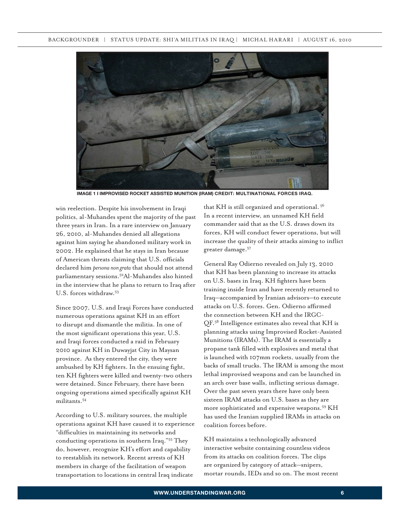

**Image 1 I Improvised rocket assisted munition (IRAM) CREDIT: Multinational forces IrAQ.**

win reelection. Despite his involvement in Iraqi politics, al-Muhandes spent the majority of the past three years in Iran. In a rare interview on January 26, 2010, al-Muhandes denied all allegations against him saying he abandoned military work in 2002. He explained that he stays in Iran because of American threats claiming that U.S. officials declared him *persona non grata* that should not attend parliamentary sessions.52Al-Muhandes also hinted in the interview that he plans to return to Iraq after U.S. forces withdraw.<sup>53</sup>

Since 2007, U.S. and Iraqi Forces have conducted numerous operations against KH in an effort to disrupt and dismantle the militia. In one of the most significant operations this year, U.S. and Iraqi forces conducted a raid in February 2010 against KH in Duwayjat City in Maysan province. As they entered the city, they were ambushed by KH fighters. In the ensuing fight, ten KH fighters were killed and twenty-two others were detained. Since February, there have been ongoing operations aimed specifically against KH militants.54

According to U.S. military sources, the multiple operations against KH have caused it to experience "difficulties in maintaining its networks and conducting operations in southern Iraq."55 They do, however, recognize KH's effort and capability to reestablish its network. Recent arrests of KH members in charge of the facilitation of weapon transportation to locations in central Iraq indicate

that KH is still organized and operational. 56 In a recent interview, an unnamed KH field commander said that as the U.S. draws down its forces, KH will conduct fewer operations, but will increase the quality of their attacks aiming to inflict greater damage.57

General Ray Odierno revealed on July 13, 2010 that KH has been planning to increase its attacks on U.S. bases in Iraq. KH fighters have been training inside Iran and have recently returned to Iraq—accompanied by Iranian advisors—to execute attacks on U.S. forces. Gen. Odierno affirmed the connection between KH and the IRGC-QF.58 Intelligence estimates also reveal that KH is planning attacks using Improvised Rocket-Assisted Munitions (IRAMs). The IRAM is essentially a propane tank filled with explosives and metal that is launched with 107mm rockets, usually from the backs of small trucks. The IRAM is among the most lethal improvised weapons and can be launched in an arch over base walls, inflicting serious damage. Over the past seven years there have only been sixteen IRAM attacks on U.S. bases as they are more sophisticated and expensive weapons.59 KH has used the Iranian supplied IRAMs in attacks on coalition forces before.

KH maintains a technologically advanced interactive website containing countless videos from its attacks on coalition forces. The clips are organized by category of attack—snipers, mortar rounds, IEDs and so on. The most recent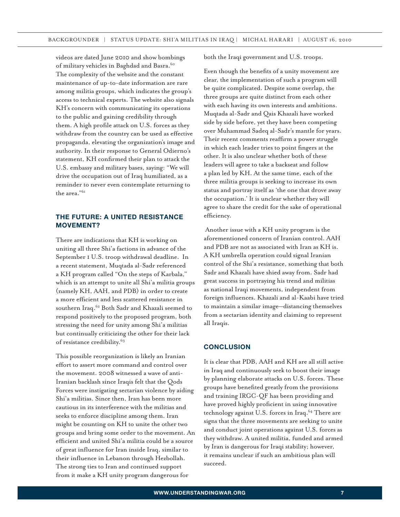videos are dated June 2010 and show bombings of military vehicles in Baghdad and Basra.<sup>60</sup> The complexity of the website and the constant maintenance of up-to-date information are rare among militia groups, which indicates the group's access to technical experts. The website also signals KH's concern with communicating its operations to the public and gaining credibility through them. A high profile attack on U.S. forces as they withdraw from the country can be used as effective propaganda, elevating the organization's image and authority. In their response to General Odierno's statement, KH confirmed their plan to attack the U.S. embassy and military bases, saying: "We will drive the occupation out of Iraq humiliated, as a reminder to never even contemplate returning to the area."61

## **THE FUTURE: A UNITED RESISTANCE MOVEMENT?**

There are indications that KH is working on uniting all three Shi'a factions in advance of the September 1 U.S. troop withdrawal deadline. In a recent statement, Muqtada al-Sadr referenced a KH program called "On the steps of Karbala," which is an attempt to unite all Shi'a militia groups (namely KH, AAH, and PDB) in order to create a more efficient and less scattered resistance in southern Iraq.<sup>62</sup> Both Sadr and Khazali seemed to respond positively to the proposed program, both stressing the need for unity among Shi'a militias but continually criticizing the other for their lack of resistance credibility.<sup>63</sup>

This possible reorganization is likely an Iranian effort to assert more command and control over the movement. 2008 witnessed a wave of anti-Iranian backlash since Iraqis felt that the Qods Forces were instigating sectarian violence by aiding Shi'a militias. Since then, Iran has been more cautious in its interference with the militias and seeks to enforce discipline among them. Iran might be counting on KH to unite the other two groups and bring some order to the movement. An efficient and united Shi'a militia could be a source of great influence for Iran inside Iraq, similar to their influence in Lebanon through Hezbollah. The strong ties to Iran and continued support from it make a KH unity program dangerous for

both the Iraqi government and U.S. troops.

Even though the benefits of a unity movement are clear, the implementation of such a program will be quite complicated. Despite some overlap, the three groups are quite distinct from each other with each having its own interests and ambitions. Muqtada al-Sadr and Qais Khazali have worked side by side before, yet they have been competing over Muhammad Sadeq al-Sadr's mantle for years. Their recent comments reaffirm a power struggle in which each leader tries to point fingers at the other. It is also unclear whether both of these leaders will agree to take a backseat and follow a plan led by KH. At the same time, each of the three militia groups is seeking to increase its own status and portray itself as 'the one that drove away the occupation.' It is unclear whether they will agree to share the credit for the sake of operational efficiency.

 Another issue with a KH unity program is the aforementioned concern of Iranian control. AAH and PDB are not as associated with Iran as KH is. A KH umbrella operation could signal Iranian control of the Shi'a resistance, something that both Sadr and Khazali have shied away from. Sadr had great success in portraying his trend and militias as national Iraqi movements, independent from foreign influences. Khazali and al-Kaabi have tried to maintain a similar image—distancing themselves from a sectarian identity and claiming to represent all Iraqis.

#### **CONCLUSION**

It is clear that PDB, AAH and KH are all still active in Iraq and continuously seek to boost their image by planning elaborate attacks on U.S. forces. These groups have benefited greatly from the provisions and training IRGC-QF has been providing and have proved highly proficient in using innovative technology against U.S. forces in Iraq.<sup>64</sup> There are signs that the three movements are seeking to unite and conduct joint operations against U.S. forces as they withdraw. A united militia, funded and armed by Iran is dangerous for Iraqi stability; however, it remains unclear if such an ambitious plan will succeed.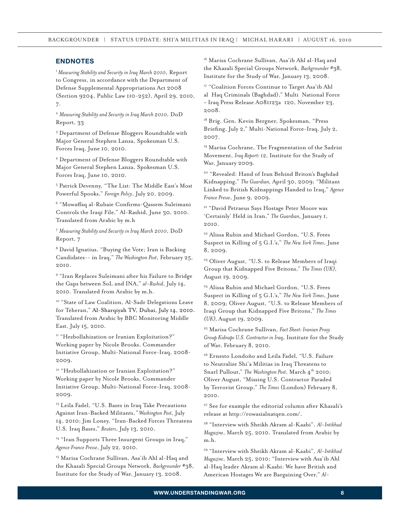#### **ENDNOTES**

<sup>1</sup>*Measuring Stability and Security in Iraq March 2010*, Report to Congress, in accordance with the Department of Defense Supplemental Appropriations Act 2008 (Section 9204, Public Law 110-252), April 29, 2010, 7.

<sup>2</sup> *Measuring Stability and Security in Iraq March 2010*, DoD Report, 33

<sup>3</sup> Department of Defense Bloggers Roundtable with Major General Stephen Lanza, Spokesman U.S. Forces Iraq, June 10, 2010.

<sup>4</sup> Department of Defense Bloggers Roundtable with Major General Stephen Lanza, Spokesman U.S. Forces Iraq, June 10, 2010.

<sup>5</sup> Patrick Devenny, "The List: The Middle East's Most Powerful Spooks," *Foreign Policy*, July 20, 2009.

6 "Mowaffaq al-Rubaie Confirms-Qassem Suleimani Controls the Iraqi File," Al-Rashid, June 30, 2010. Translated from Arabic by m.h

<sup>7</sup> *Measuring Stability and Security in Iraq March 2010*, DoD Report, 7

<sup>8</sup> David Ignatius, "Buying the Vote; Iran is Backing Candidates-- in Iraq," *The Washington Post*, February 25, 2010.

<sup>9</sup> "Iran Replaces Suleimani after his Failure to Bridge the Gaps between SoL and INA," *al-Rashid*, July 14, 2010. Translated from Arabic by m.h.

<sup>10</sup> "State of Law Coalition, Al-Sadr Delegations Leave for Teheran," Al-Sharqiyah TV, Dubai, July 14, 2010. Translated from Arabic by BBC Monitoring Middle East, July 15, 2010.

<sup>11</sup> "Hezbollahization or Iranian Exploitation?" Working paper by Nicole Brooks, Commander Initiative Group, Multi-National Force-Iraq, 2008- 2009.

<sup>12</sup> "Hezbollahization or Iranian Exploitation?" Working paper by Nicole Brooks, Commander Initiative Group, Multi-National Force-Iraq, 2008- 2009.

<sup>13</sup> Leila Fadel, "U.S. Bases in Iraq Take Precautions Against Iran-Backed Militants,*" Washington Post*, July 14, 2010; Jim Loney, "Iran-Backed Forces Threatens U.S. Iraq Bases," *Reuters*, July 13, 2010.

<sup>14</sup> "Iran Supports Three Insurgent Groups in Iraq," *Agence France Presse*, July 22, 2010.

<sup>15</sup> Marisa Cochrane Sullivan, Asa'ib Ahl al-Haq and the Khazali Special Groups Network, *Backgrounder* #38, Institute for the Study of War, January 13, 2008.

<sup>16</sup> Marisa Cochrane Sullivan, Asa'ib Ahl al-Haq and the Khazali Special Groups Network, *Backgrounder* #38, Institute for the Study of War, January 13, 2008.

<sup>17</sup> "Coalition Forces Continue to Target Asa'ib Ahl al Haq Criminals (Baghdad)," Multi National Force – Iraq Press Release A081123a‐120, November 23, 2008.

<sup>18</sup> Brig. Gen. Kevin Bergner, Spokesman, "Press Briefing, July 2," Multi-National Force-Iraq, July 2, 2007.

<sup>19</sup> Marisa Cochrane, The Fragmentation of the Sadrist Movement, *Iraq Report: 12*, Institute for the Study of War, January 2009.

20 "Revealed: Hand of Iran Behind Briton's Baghdad Kidnapping," *The Guardian,* April 30, 2009; "Militant Linked to British Kidnappings Handed to Iraq," *Agence France Presse*, June 9, 2009.

<sup>21</sup> "David Petraeus Says Hostage Peter Moore was 'Certainly' Held in Iran," *The Guardian,* January 1, 2010.

<sup>22</sup> Alissa Rubin and Michael Gordon, "U.S. Frees Suspect in Killing of 5 G.I.'s," *The New York Times*, June 8, 2009.

<sup>23</sup> Oliver August, "U.S. to Release Members of Iraqi Group that Kidnapped Five Britons," *The Times (UK),*  August 19, 2009.

24 Alissa Rubin and Michael Gordon, "U.S. Frees Suspect in Killing of 5 G.I.'s," *The New York Times*, June 8, 2009; Oliver August, "U.S. to Release Members of Iraqi Group that Kidnapped Five Britons," *The Times (UK),* August 19, 2009.

25 Marisa Cochrane Sullivan, *Fact Sheet: Iranian Proxy Group Kidnaps U.S. Contractor in Iraq*, Institute for the Study of War, February 8, 2010.

26 Ernesto Londoño and Leila Fadel, "U.S. Failure to Neutralize Shi'a Militias in Iraq Threatens to Snarl Pullout," The Washington Post, March 4<sup>th</sup> 2010; Oliver August, "Missing U.S. Contractor Paraded by Terrorist Group," *The Times* (London) February 8, 2010.

<sup>27</sup> See for example the editorial column after Khazali's release at http://rowasialnatqen.com/.

28 "Interview with Sheikh Akram al-Kaabi", *Al-Intikhad Magazine*, March 25, 2010. Translated from Arabic by m.h.

29 "Interview with Sheikh Akram al-Kaabi", *Al-Intikhad Magazine*, March 25, 2010; "Interview with Asa'ib Ahl al-Haq leader Akram al-Kaabi: We have British and American Hostages We are Bargaining Over," *Al-*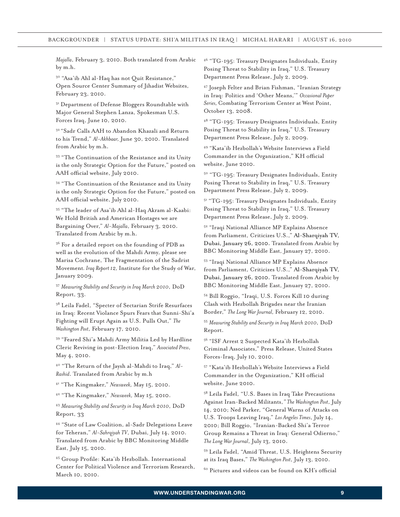*Majalla*, February 3, 2010. Both translated from Arabic by m.h.

30 "Asa'ib Ahl al-Haq has not Quit Resistance," Open Source Center Summary of Jihadist Websites, February 23, 2010.

<sup>31</sup> Department of Defense Bloggers Roundtable with Major General Stephen Lanza, Spokesman U.S. Forces Iraq, June 10, 2010.

32 "Sadr Calls AAH to Abandon Khazali and Return to his Trend," *Al-Akhbaar,* June 30, 2010. Translated from Arabic by m.h.

33 "The Continuation of the Resistance and its Unity is the only Strategic Option for the Future," posted on AAH official website, July 2010.

34 "The Continuation of the Resistance and its Unity is the only Strategic Option for the Future," posted on AAH official website, July 2010.

35 "The leader of Asa'ib Ahl al-Haq Akram al-Kaabi: We Hold British and American Hostages we are Bargaining Over," *Al-Majalla*, February 3, 2010. Translated from Arabic by m.h.

<sup>36</sup> For a detailed report on the founding of PDB as well as the evolution of the Mahdi Army, please see Marisa Cochrane, The Fragmentation of the Sadrist Movement*. Iraq Report 12,* Institute for the Study of War, January 2009.

<sup>37</sup> *Measuring Stability and Security in Iraq March 2010*, DoD Report, 33.

<sup>38</sup> Leila Fadel, "Specter of Sectarian Strife Resurfaces in Iraq: Recent Violance Spurs Fears that Sunni-Shi'a Fighting will Erupt Again as U.S. Pulls Out," *The Washington Post*, February 17, 2010.

39 "Feared Shi'a Mahdi Army Militia Led by Hardline Cleric Reviving in post-Election Iraq," *Associated Press*, May 4, 2010.

40 "The Return of the Jaysh al-Mahdi to Iraq," *Al-Rashid*. Translated from Arabic by m.h

41 "The Kingmaker," *Newsweek,* May 15, 2010.

42 "The Kingmaker," *Newsweek,* May 15, 2010.

<sup>43</sup> *Measuring Stability and Security in Iraq March 2010*, DoD Report, 33

44 "State of Law Coalition, al-Sadr Delegations Leave for Teheran," *Al-Sahrqiyah TV*, Dubai, July 14, 2010. Translated from Arabic by BBC Monitoring Middle East, July 15, 2010.

45 Group Profile: Kata'ib Hezbollah. International Center for Political Violence and Terrorism Research, March 10, 2010.

46 "TG-195: Treasury Designates Individuals, Entity Posing Threat to Stability in Iraq," U.S. Treasury Department Press Release, July 2, 2009.

47 Joseph Felter and Brian Fishman, "Iranian Strategy in Iraq: Politics and 'Other Means,'" *Occasional Paper Series,* Combating Terrorism Center at West Point, October 13, 2008.

48 "TG-195: Treasury Designates Individuals, Entity Posing Threat to Stability in Iraq," U.S. Treasury Department Press Release, July 2, 2009.

49 "Kata'ib Hezbollah's Website Interviews a Field Commander in the Organization," KH official website, June 2010.

50 "TG-195: Treasury Designates Individuals, Entity Posing Threat to Stability in Iraq," U.S. Treasury Department Press Release, July 2, 2009.

<sup>51</sup> "TG-195: Treasury Designates Individuals, Entity Posing Threat to Stability in Iraq," U.S. Treasury Department Press Release, July 2, 2009.

52 "Iraqi National Alliance MP Explains Absence from Parliament, Criticizes U.S.," Al-Sharqiyah TV, Dubai, January 26, 2010. Translated from Arabic by BBC Monitoring Middle East, January 27, 2010.

53 "Iraqi National Alliance MP Explains Absence from Parliament, Criticizes U.S.," Al-Sharqiyah TV, Dubai, January 26, 2010. Translated from Arabic by BBC Monitoring Middle East, January 27, 2010.

54 Bill Roggio, "Iraqi, U.S. Forces Kill 10 during Clash with Hezbollah Brigades near the Iranian Border," *The Long War Journal,* February 12, 2010.

<sup>55</sup> *Measuring Stability and Security in Iraq March 2010*, DoD Report.

56 "ISF Arrest 2 Suspected Kata'ib Hezbollah Criminal Associates," Press Release, United States Forces-Iraq, July 10, 2010.

57 "Kata'ib Hezbollah's Website Interviews a Field Commander in the Organization," KH official website, June 2010.

<sup>58</sup> Leila Fadel, "U.S. Bases in Iraq Take Precautions Against Iran-Backed Militants,*" The Washington Post*, July 14, 2010; Ned Parker, "General Warns of Attacks on U.S. Troops Leaving Iraq," *Los Angeles Times*, July 14, 2010; Bill Roggio, "Iranian-Backed Shi'a Terror Group Remains a Threat in Iraq: General Odierno," *The Long War Journal*, July 13, 2010.

<sup>59</sup> Leila Fadel, "Amid Threat, U.S. Heightens Security at its Iraq Bases," *The Washington Post*, July 13, 2010.

<sup>60</sup> Pictures and videos can be found on KH's official